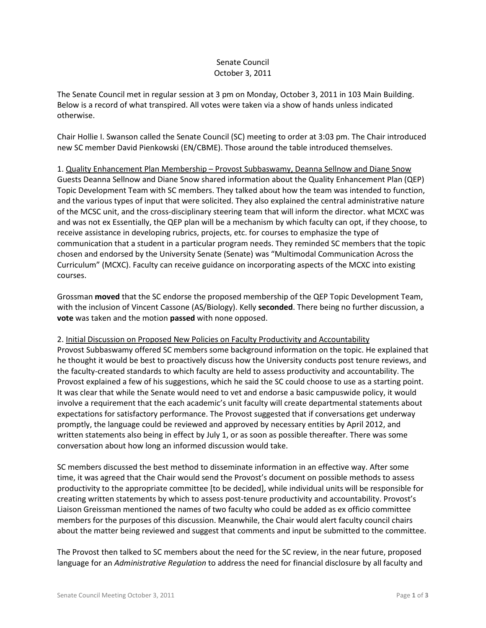# Senate Council October 3, 2011

The Senate Council met in regular session at 3 pm on Monday, October 3, 2011 in 103 Main Building. Below is a record of what transpired. All votes were taken via a show of hands unless indicated otherwise.

Chair Hollie I. Swanson called the Senate Council (SC) meeting to order at 3:03 pm. The Chair introduced new SC member David Pienkowski (EN/CBME). Those around the table introduced themselves.

1. Quality Enhancement Plan Membership – Provost Subbaswamy, Deanna Sellnow and Diane Snow Guests Deanna Sellnow and Diane Snow shared information about the Quality Enhancement Plan (QEP) Topic Development Team with SC members. They talked about how the team was intended to function, and the various types of input that were solicited. They also explained the central administrative nature of the MCSC unit, and the cross-disciplinary steering team that will inform the director. what MCXC was and was not ex Essentially, the QEP plan will be a mechanism by which faculty can opt, if they choose, to receive assistance in developing rubrics, projects, etc. for courses to emphasize the type of communication that a student in a particular program needs. They reminded SC members that the topic chosen and endorsed by the University Senate (Senate) was "Multimodal Communication Across the Curriculum" (MCXC). Faculty can receive guidance on incorporating aspects of the MCXC into existing courses.

Grossman **moved** that the SC endorse the proposed membership of the QEP Topic Development Team, with the inclusion of Vincent Cassone (AS/Biology). Kelly **seconded**. There being no further discussion, a **vote** was taken and the motion **passed** with none opposed.

2. Initial Discussion on Proposed New Policies on Faculty Productivity and Accountability

Provost Subbaswamy offered SC members some background information on the topic. He explained that he thought it would be best to proactively discuss how the University conducts post tenure reviews, and the faculty-created standards to which faculty are held to assess productivity and accountability. The Provost explained a few of his suggestions, which he said the SC could choose to use as a starting point. It was clear that while the Senate would need to vet and endorse a basic campuswide policy, it would involve a requirement that the each academic's unit faculty will create departmental statements about expectations for satisfactory performance. The Provost suggested that if conversations get underway promptly, the language could be reviewed and approved by necessary entities by April 2012, and written statements also being in effect by July 1, or as soon as possible thereafter. There was some conversation about how long an informed discussion would take.

SC members discussed the best method to disseminate information in an effective way. After some time, it was agreed that the Chair would send the Provost's document on possible methods to assess productivity to the appropriate committee [to be decided], while individual units will be responsible for creating written statements by which to assess post-tenure productivity and accountability. Provost's Liaison Greissman mentioned the names of two faculty who could be added as ex officio committee members for the purposes of this discussion. Meanwhile, the Chair would alert faculty council chairs about the matter being reviewed and suggest that comments and input be submitted to the committee.

The Provost then talked to SC members about the need for the SC review, in the near future, proposed language for an *Administrative Regulation* to address the need for financial disclosure by all faculty and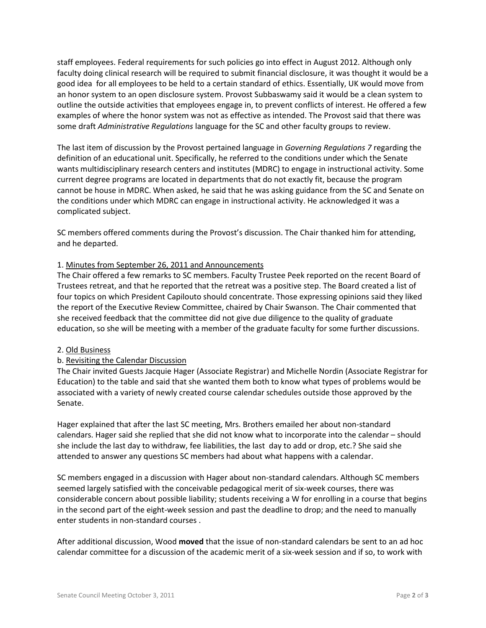staff employees. Federal requirements for such policies go into effect in August 2012. Although only faculty doing clinical research will be required to submit financial disclosure, it was thought it would be a good idea for all employees to be held to a certain standard of ethics. Essentially, UK would move from an honor system to an open disclosure system. Provost Subbaswamy said it would be a clean system to outline the outside activities that employees engage in, to prevent conflicts of interest. He offered a few examples of where the honor system was not as effective as intended. The Provost said that there was some draft *Administrative Regulations* language for the SC and other faculty groups to review.

The last item of discussion by the Provost pertained language in *Governing Regulations 7* regarding the definition of an educational unit. Specifically, he referred to the conditions under which the Senate wants multidisciplinary research centers and institutes (MDRC) to engage in instructional activity. Some current degree programs are located in departments that do not exactly fit, because the program cannot be house in MDRC. When asked, he said that he was asking guidance from the SC and Senate on the conditions under which MDRC can engage in instructional activity. He acknowledged it was a complicated subject.

SC members offered comments during the Provost's discussion. The Chair thanked him for attending, and he departed.

## 1. Minutes from September 26, 2011 and Announcements

The Chair offered a few remarks to SC members. Faculty Trustee Peek reported on the recent Board of Trustees retreat, and that he reported that the retreat was a positive step. The Board created a list of four topics on which President Capilouto should concentrate. Those expressing opinions said they liked the report of the Executive Review Committee, chaired by Chair Swanson. The Chair commented that she received feedback that the committee did not give due diligence to the quality of graduate education, so she will be meeting with a member of the graduate faculty for some further discussions.

## 2. Old Business

## b. Revisiting the Calendar Discussion

The Chair invited Guests Jacquie Hager (Associate Registrar) and Michelle Nordin (Associate Registrar for Education) to the table and said that she wanted them both to know what types of problems would be associated with a variety of newly created course calendar schedules outside those approved by the Senate.

Hager explained that after the last SC meeting, Mrs. Brothers emailed her about non-standard calendars. Hager said she replied that she did not know what to incorporate into the calendar – should she include the last day to withdraw, fee liabilities, the last day to add or drop, etc.? She said she attended to answer any questions SC members had about what happens with a calendar.

SC members engaged in a discussion with Hager about non-standard calendars. Although SC members seemed largely satisfied with the conceivable pedagogical merit of six-week courses, there was considerable concern about possible liability; students receiving a W for enrolling in a course that begins in the second part of the eight-week session and past the deadline to drop; and the need to manually enter students in non-standard courses .

After additional discussion, Wood **moved** that the issue of non-standard calendars be sent to an ad hoc calendar committee for a discussion of the academic merit of a six-week session and if so, to work with